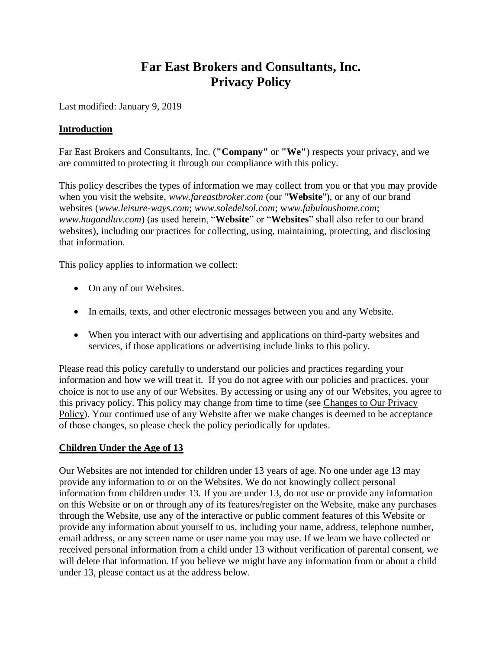# **Far East Brokers and Consultants, Inc. Privacy Policy**

Last modified: January 9, 2019

#### **Introduction**

Far East Brokers and Consultants, Inc. (**"Company"** or **"We"**) respects your privacy, and we are committed to protecting it through our compliance with this policy.

This policy describes the types of information we may collect from you or that you may provide when you visit the website, *www.fareastbroker.com* (our "**Website**"), or any of our brand websites (*[www.leisure-ways.com](http://www.leisure-ways.net/)*; *[www.soledelsol.com](http://www.soledelsol.com/)*; w*[ww.fabuloushome.com](http://www.fabuloushome.com/)*; *[www.hugandluv.com](http://www.hugandluv.com/)*) (as used herein, "**Website**" or "**Websites**" shall also refer to our brand websites), including our practices for collecting, using, maintaining, protecting, and disclosing that information.

This policy applies to information we collect:

- On any of our Websites.
- In emails, texts, and other electronic messages between you and any Website.
- When you interact with our advertising and applications on third-party websites and services, if those applications or advertising include links to this policy.

Please read this policy carefully to understand our policies and practices regarding your information and how we will treat it. If you do not agree with our policies and practices, your choice is not to use any of our Websites. By accessing or using any of our Websites, you agree to this privacy policy. This policy may change from time to time (see [Changes to Our Privacy](#page-6-0)  [Policy\)](#page-6-0). Your continued use of any Website after we make changes is deemed to be acceptance of those changes, so please check the policy periodically for updates.

# **Children Under the Age of 13**

Our Websites are not intended for children under 13 years of age. No one under age 13 may provide any information to or on the Websites. We do not knowingly collect personal information from children under 13. If you are under 13, do not use or provide any information on this Website or on or through any of its features/register on the Website, make any purchases through the Website, use any of the interactive or public comment features of this Website or provide any information about yourself to us, including your name, address, telephone number, email address, or any screen name or user name you may use. If we learn we have collected or received personal information from a child under 13 without verification of parental consent, we will delete that information. If you believe we might have any information from or about a child under 13, please contact us at the address below.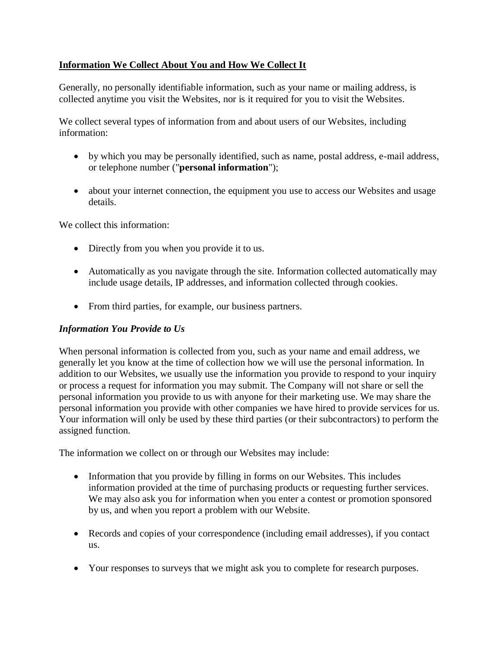# **Information We Collect About You and How We Collect It**

Generally, no personally identifiable information, such as your name or mailing address, is collected anytime you visit the Websites, nor is it required for you to visit the Websites.

We collect several types of information from and about users of our Websites, including information:

- by which you may be personally identified, such as name, postal address, e-mail address, or telephone number ("**personal information**");
- about your internet connection, the equipment you use to access our Websites and usage details.

We collect this information:

- Directly from you when you provide it to us.
- Automatically as you navigate through the site. Information collected automatically may include usage details, IP addresses, and information collected through cookies.
- From third parties, for example, our business partners.

#### *Information You Provide to Us*

When personal information is collected from you, such as your name and email address, we generally let you know at the time of collection how we will use the personal information. In addition to our Websites, we usually use the information you provide to respond to your inquiry or process a request for information you may submit. The Company will not share or sell the personal information you provide to us with anyone for their marketing use. We may share the personal information you provide with other companies we have hired to provide services for us. Your information will only be used by these third parties (or their subcontractors) to perform the assigned function.

The information we collect on or through our Websites may include:

- Information that you provide by filling in forms on our Websites. This includes information provided at the time of purchasing products or requesting further services. We may also ask you for information when you enter a contest or promotion sponsored by us, and when you report a problem with our Website.
- Records and copies of your correspondence (including email addresses), if you contact us.
- Your responses to surveys that we might ask you to complete for research purposes.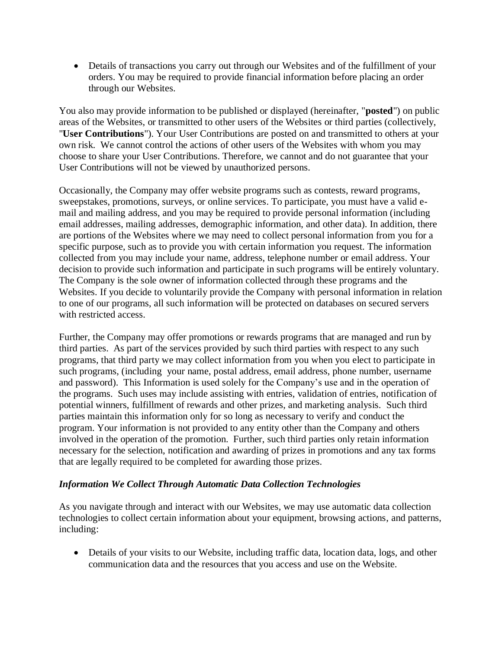• Details of transactions you carry out through our Websites and of the fulfillment of your orders. You may be required to provide financial information before placing an order through our Websites.

You also may provide information to be published or displayed (hereinafter, "**posted**") on public areas of the Websites, or transmitted to other users of the Websites or third parties (collectively, "**User Contributions**"). Your User Contributions are posted on and transmitted to others at your own risk. We cannot control the actions of other users of the Websites with whom you may choose to share your User Contributions. Therefore, we cannot and do not guarantee that your User Contributions will not be viewed by unauthorized persons.

Occasionally, the Company may offer website programs such as contests, reward programs, sweepstakes, promotions, surveys, or online services. To participate, you must have a valid email and mailing address, and you may be required to provide personal information (including email addresses, mailing addresses, demographic information, and other data). In addition, there are portions of the Websites where we may need to collect personal information from you for a specific purpose, such as to provide you with certain information you request. The information collected from you may include your name, address, telephone number or email address. Your decision to provide such information and participate in such programs will be entirely voluntary. The Company is the sole owner of information collected through these programs and the Websites. If you decide to voluntarily provide the Company with personal information in relation to one of our programs, all such information will be protected on databases on secured servers with restricted access.

Further, the Company may offer promotions or rewards programs that are managed and run by third parties. As part of the services provided by such third parties with respect to any such programs, that third party we may collect information from you when you elect to participate in such programs, (including your name, postal address, email address, phone number, username and password). This Information is used solely for the Company's use and in the operation of the programs. Such uses may include assisting with entries, validation of entries, notification of potential winners, fulfillment of rewards and other prizes, and marketing analysis. Such third parties maintain this information only for so long as necessary to verify and conduct the program. Your information is not provided to any entity other than the Company and others involved in the operation of the promotion. Further, such third parties only retain information necessary for the selection, notification and awarding of prizes in promotions and any tax forms that are legally required to be completed for awarding those prizes.

#### *Information We Collect Through Automatic Data Collection Technologies*

As you navigate through and interact with our Websites, we may use automatic data collection technologies to collect certain information about your equipment, browsing actions, and patterns, including:

• Details of your visits to our Website, including traffic data, location data, logs, and other communication data and the resources that you access and use on the Website.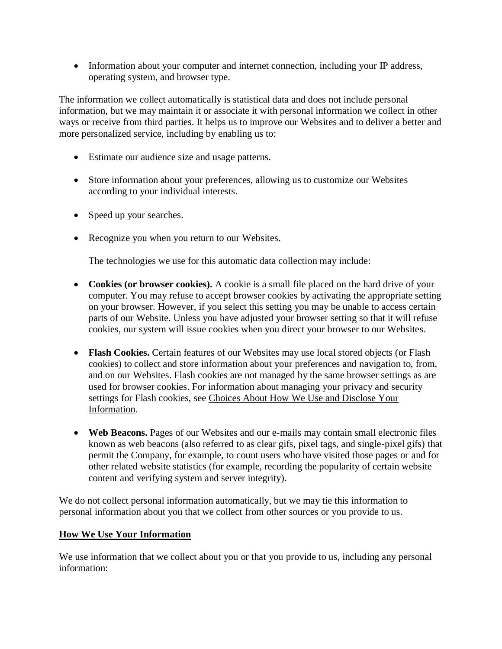• Information about your computer and internet connection, including your IP address, operating system, and browser type.

The information we collect automatically is statistical data and does not include personal information, but we may maintain it or associate it with personal information we collect in other ways or receive from third parties. It helps us to improve our Websites and to deliver a better and more personalized service, including by enabling us to:

- Estimate our audience size and usage patterns.
- Store information about your preferences, allowing us to customize our Websites according to your individual interests.
- Speed up your searches.
- Recognize you when you return to our Websites.

The technologies we use for this automatic data collection may include:

- Cookies (or browser cookies). A cookie is a small file placed on the hard drive of your computer. You may refuse to accept browser cookies by activating the appropriate setting on your browser. However, if you select this setting you may be unable to access certain parts of our Website. Unless you have adjusted your browser setting so that it will refuse cookies, our system will issue cookies when you direct your browser to our Websites.
- **Flash Cookies.** Certain features of our Websites may use local stored objects (or Flash cookies) to collect and store information about your preferences and navigation to, from, and on our Websites. Flash cookies are not managed by the same browser settings as are used for browser cookies. For information about managing your privacy and security settings for Flash cookies, see [Choices About How We Use and Disclose Your](#page-5-0)  [Information.](#page-5-0)
- Web Beacons. Pages of our Websites and our e-mails may contain small electronic files known as web beacons (also referred to as clear gifs, pixel tags, and single-pixel gifs) that permit the Company, for example, to count users who have visited those pages or and for other related website statistics (for example, recording the popularity of certain website content and verifying system and server integrity).

We do not collect personal information automatically, but we may tie this information to personal information about you that we collect from other sources or you provide to us.

# **How We Use Your Information**

We use information that we collect about you or that you provide to us, including any personal information: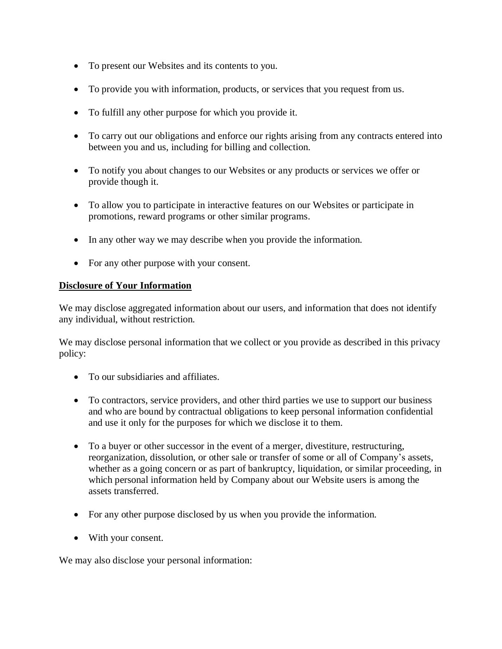- To present our Websites and its contents to you.
- To provide you with information, products, or services that you request from us.
- To fulfill any other purpose for which you provide it.
- To carry out our obligations and enforce our rights arising from any contracts entered into between you and us, including for billing and collection.
- To notify you about changes to our Websites or any products or services we offer or provide though it.
- To allow you to participate in interactive features on our Websites or participate in promotions, reward programs or other similar programs.
- In any other way we may describe when you provide the information.
- For any other purpose with your consent.

#### **Disclosure of Your Information**

We may disclose aggregated information about our users, and information that does not identify any individual, without restriction.

We may disclose personal information that we collect or you provide as described in this privacy policy:

- To our subsidiaries and affiliates.
- To contractors, service providers, and other third parties we use to support our business and who are bound by contractual obligations to keep personal information confidential and use it only for the purposes for which we disclose it to them.
- To a buyer or other successor in the event of a merger, divestiture, restructuring, reorganization, dissolution, or other sale or transfer of some or all of Company's assets, whether as a going concern or as part of bankruptcy, liquidation, or similar proceeding, in which personal information held by Company about our Website users is among the assets transferred.
- For any other purpose disclosed by us when you provide the information.
- With your consent.

We may also disclose your personal information: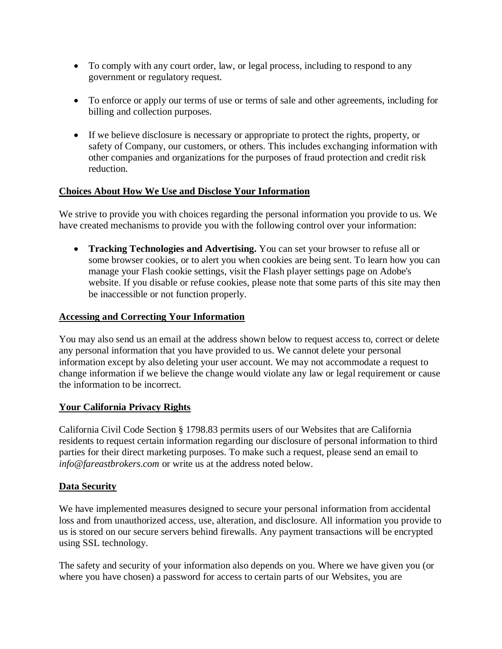- To comply with any court order, law, or legal process, including to respond to any government or regulatory request.
- To enforce or apply our terms of use or terms of sale and other agreements, including for billing and collection purposes.
- If we believe disclosure is necessary or appropriate to protect the rights, property, or safety of Company, our customers, or others. This includes exchanging information with other companies and organizations for the purposes of fraud protection and credit risk reduction.

# <span id="page-5-0"></span>**Choices About How We Use and Disclose Your Information**

We strive to provide you with choices regarding the personal information you provide to us. We have created mechanisms to provide you with the following control over your information:

• **Tracking Technologies and Advertising.** You can set your browser to refuse all or some browser cookies, or to alert you when cookies are being sent. To learn how you can manage your Flash cookie settings, visit the Flash player settings page on Adobe's website. If you disable or refuse cookies, please note that some parts of this site may then be inaccessible or not function properly.

# **Accessing and Correcting Your Information**

You may also send us an email at the address shown below to request access to, correct or delete any personal information that you have provided to us. We cannot delete your personal information except by also deleting your user account. We may not accommodate a request to change information if we believe the change would violate any law or legal requirement or cause the information to be incorrect.

# **Your California Privacy Rights**

California Civil Code Section § 1798.83 permits users of our Websites that are California residents to request certain information regarding our disclosure of personal information to third parties for their direct marketing purposes. To make such a request, please send an email to *info@fareastbrokers.com* or write us at the address noted below.

# **Data Security**

We have implemented measures designed to secure your personal information from accidental loss and from unauthorized access, use, alteration, and disclosure. All information you provide to us is stored on our secure servers behind firewalls. Any payment transactions will be encrypted using SSL technology.

The safety and security of your information also depends on you. Where we have given you (or where you have chosen) a password for access to certain parts of our Websites, you are